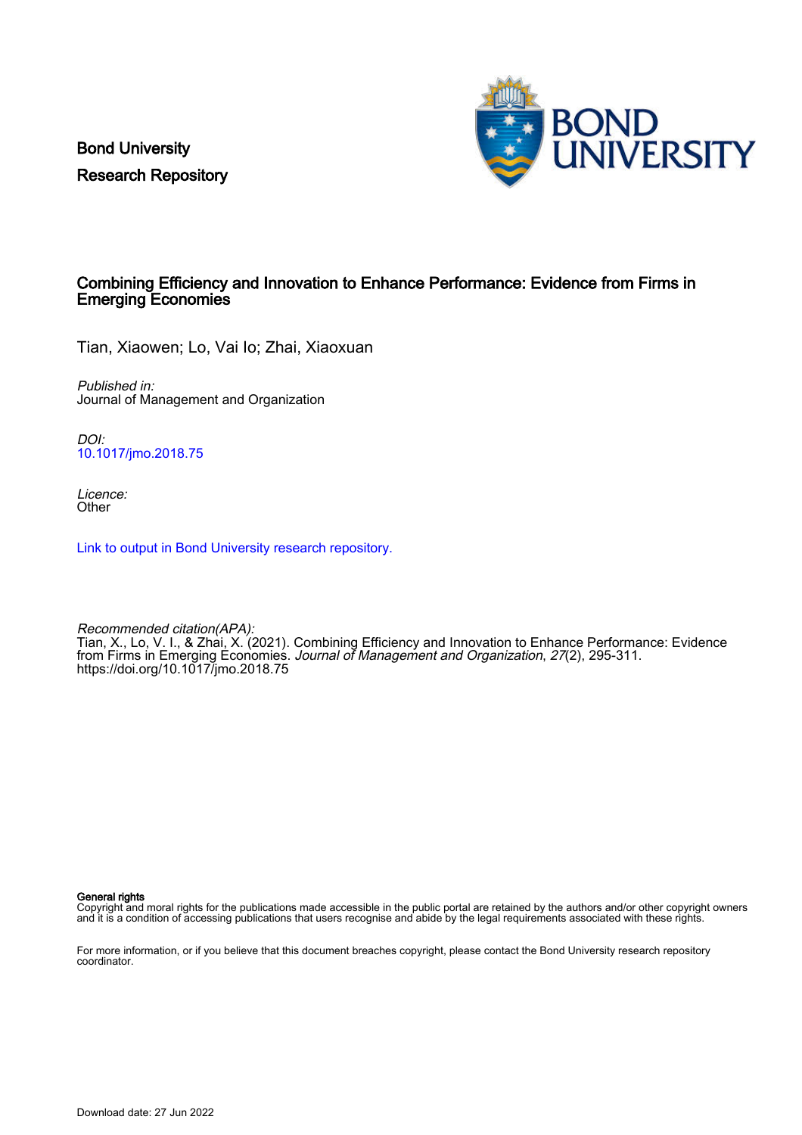Bond University Research Repository



#### Combining Efficiency and Innovation to Enhance Performance: Evidence from Firms in Emerging Economies

Tian, Xiaowen; Lo, Vai Io; Zhai, Xiaoxuan

Published in: Journal of Management and Organization

DOI: [10.1017/jmo.2018.75](https://doi.org/10.1017/jmo.2018.75)

Licence: **Other** 

[Link to output in Bond University research repository.](https://research.bond.edu.au/en/publications/280271e1-93b0-4205-bebe-60eb07f70ff3)

Recommended citation(APA): Tian, X., Lo, V. I., & Zhai, X. (2021). Combining Efficiency and Innovation to Enhance Performance: Evidence from Firms in Emerging Economies. Journal of Management and Organization, 27(2), 295-311. <https://doi.org/10.1017/jmo.2018.75>

General rights

Copyright and moral rights for the publications made accessible in the public portal are retained by the authors and/or other copyright owners and it is a condition of accessing publications that users recognise and abide by the legal requirements associated with these rights.

For more information, or if you believe that this document breaches copyright, please contact the Bond University research repository coordinator.